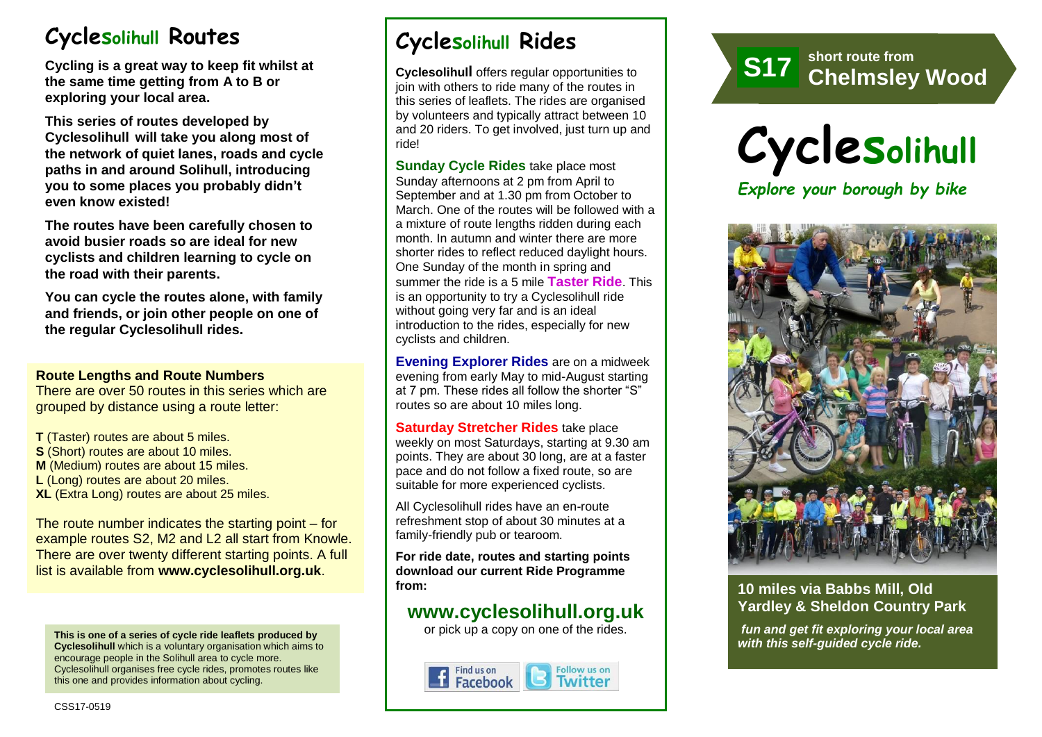# **Cyclesolihull Routes**

**Cycling is a great way to keep fit whilst at the same time getting from A to B or exploring your local area.** 

**This series of routes developed by Cyclesolihull will take you along most of the network of quiet lanes, roads and cycle paths in and around Solihull, introducing you to some places you probably didn't even know existed!**

**The routes have been carefully chosen to avoid busier roads so are ideal for new cyclists and children learning to cycle on the road with their parents.** 

**You can cycle the routes alone, with family and friends, or join other people on one of the regular Cyclesolihull rides.**

#### **Route Lengths and Route Numbers**

There are over 50 routes in this series which are grouped by distance using a route letter:

**T** (Taster) routes are about 5 miles. **S** (Short) routes are about 10 miles. **M** (Medium) routes are about 15 miles. **L** (Long) routes are about 20 miles. **XL** (Extra Long) routes are about 25 miles.

The route number indicates the starting point – for example routes S2, M2 and L2 all start from Knowle. There are over twenty different starting points. A full list is available from **www.cyclesolihull.org.uk**.

**This is one of a series of cycle ride leaflets produced by Cyclesolihull** which is a voluntary organisation which aims to encourage people in the Solihull area to cycle more. Cyclesolihull organises free cycle rides, promotes routes like this one and provides information about cycling.

# **Cyclesolihull Rides**

**Cyclesolihull** offers regular opportunities to join with others to ride many of the routes in this series of leaflets. The rides are organised by volunteers and typically attract between 10 and 20 riders. To get involved, just turn up and ride!

**Sunday Cycle Rides** take place most Sunday afternoons at 2 pm from April to September and at 1.30 pm from October to March. One of the routes will be followed with a a mixture of route lengths ridden during each month. In autumn and winter there are more shorter rides to reflect reduced daylight hours. One Sunday of the month in spring and summer the ride is a 5 mile **Taster Ride**. This is an opportunity to try a Cyclesolihull ride without going very far and is an ideal introduction to the rides, especially for new cyclists and children.

**Evening Explorer Rides** are on a midweek evening from early May to mid-August starting at 7 pm. These rides all follow the shorter "S" routes so are about 10 miles long.

**Saturday Stretcher Rides** take place weekly on most Saturdays, starting at 9.30 am points. They are about 30 long, are at a faster pace and do not follow a fixed route, so are suitable for more experienced cyclists.

All Cyclesolihull rides have an en-route refreshment stop of about 30 minutes at a family-friendly pub or tearoom.

**For ride date, routes and starting points download our current Ride Programme from:** 

### **www.cyclesolihull.org.uk**

or pick up a copy on one of the rides.









### **10 miles via Babbs Mill, Old Yardley & Sheldon Country Park**

*fun and get fit exploring your local area with this self-guided cycle ride.*